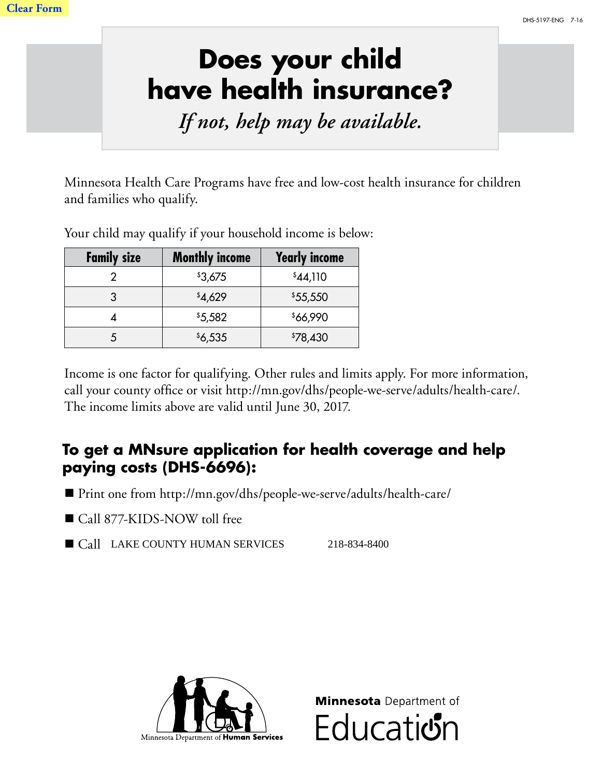## **Does your child have health insurance?**

*If not, help may be available.*

Minnesota Health Care Programs have free and low-cost health insurance for children and families who qualify.

Your child may qualify if your household income is below:

| <b>Family size</b> | <b>Monthly income</b> | <b>Yearly income</b> |
|--------------------|-----------------------|----------------------|
|                    | \$3,675               | \$44,110             |
|                    | \$4,629               | \$55,550             |
|                    | \$5,582               | \$66,990             |
|                    | \$6,535               | \$78,430             |

Income is one factor for qualifying. Other rules and limits apply. For more information, call your county office or visit http://mn.gov/dhs/people-we-serve/adults/health-care/. The income limits above are valid until June 30, 2017.

## **To get a MNsure application for health coverage and help paying costs (DHS-6696):**

- Print one from http://mn.gov/dhs/people-we-serve/adults/health-care/
- Call 877-KIDS-NOW toll free
- Call LAKE COUNTY HUMAN SERVICES 218-834-8400



**Minnesota** Department of **Education**